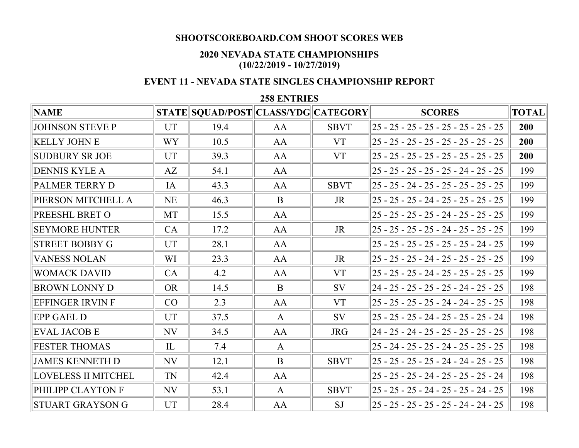## **SHOOTSCOREBOARD.COM SHOOT SCORES WEB**

## **2020 NEVADA STATE CHAMPIONSHIPS (10/22/2019 - 10/27/2019)**

## **EVENT 11 - NEVADA STATE SINGLES CHAMPIONSHIP REPORT**

## **258 ENTRIES**

| <b>NAME</b>                |              | STATE SQUAD/POST CLASS/YDG CATEGORY |              |             | <b>SCORES</b>                             | <b>TOTAL</b> |
|----------------------------|--------------|-------------------------------------|--------------|-------------|-------------------------------------------|--------------|
| <b>JOHNSON STEVE P</b>     | <b>UT</b>    | 19.4                                | AA           | <b>SBVT</b> | $ 25 - 25 - 25 - 25 - 25 - 25 - 25 - 25 $ | 200          |
| <b>KELLY JOHN E</b>        | <b>WY</b>    | 10.5                                | AA           | <b>VT</b>   | $25 - 25 - 25 - 25 - 25 - 25 - 25 - 25$   | 200          |
| <b>SUDBURY SR JOE</b>      | <b>UT</b>    | 39.3                                | AA           | VT          | $25 - 25 - 25 - 25 - 25 - 25 - 25 - 25$   | 200          |
| <b>DENNIS KYLE A</b>       | AZ           | 54.1                                | AA           |             | $25 - 25 - 25 - 25 - 25 - 24 - 25 - 25$   | 199          |
| <b>PALMER TERRY D</b>      | IA           | 43.3                                | AA           | <b>SBVT</b> | $25 - 25 - 24 - 25 - 25 - 25 - 25 - 25$   | 199          |
| PIERSON MITCHELL A         | <b>NE</b>    | 46.3                                | $\mathbf{B}$ | JR          | $25 - 25 - 25 - 24 - 25 - 25 - 25 - 25$   | 199          |
| PREESHL BRET O             | <b>MT</b>    | 15.5                                | AA           |             | $25 - 25 - 25 - 25 - 24 - 25 - 25 - 25$   | 199          |
| <b>SEYMORE HUNTER</b>      | CA           | 17.2                                | AA           | JR          | $25 - 25 - 25 - 25 - 24 - 25 - 25 - 25$   | 199          |
| <b>STREET BOBBY G</b>      | <b>UT</b>    | 28.1                                | AA           |             | $25 - 25 - 25 - 25 - 25 - 25 - 24 - 25$   | 199          |
| <b>VANESS NOLAN</b>        | WI           | 23.3                                | AA           | JR          | $25 - 25 - 25 - 24 - 25 - 25 - 25 - 25$   | 199          |
| <b>WOMACK DAVID</b>        | CA           | 4.2                                 | AA           | <b>VT</b>   | $25 - 25 - 25 - 24 - 25 - 25 - 25 - 25$   | 199          |
| <b>BROWN LONNY D</b>       | <b>OR</b>    | 14.5                                | $\mathbf{B}$ | <b>SV</b>   | $24 - 25 - 25 - 25 - 25 - 24 - 25 - 25$   | 198          |
| <b>EFFINGER IRVIN F</b>    | CO           | 2.3                                 | AA           | <b>VT</b>   | $25 - 25 - 25 - 25 - 24 - 24 - 25 - 25$   | 198          |
| <b>EPP GAEL D</b>          | <b>UT</b>    | 37.5                                | $\mathbf{A}$ | <b>SV</b>   | $25 - 25 - 25 - 24 - 25 - 25 - 25 - 24$   | 198          |
| <b>EVAL JACOB E</b>        | NV           | 34.5                                | AA           | <b>JRG</b>  | $24 - 25 - 24 - 25 - 25 - 25 - 25 - 25$   | 198          |
| <b>FESTER THOMAS</b>       | $\mathbf{L}$ | 7.4                                 | $\mathbf{A}$ |             | $25 - 24 - 25 - 25 - 24 - 25 - 25 - 25$   | 198          |
| <b>JAMES KENNETH D</b>     | <b>NV</b>    | 12.1                                | B            | <b>SBVT</b> | $25 - 25 - 25 - 25 - 24 - 24 - 25 - 25$   | 198          |
| <b>LOVELESS II MITCHEL</b> | TN           | 42.4                                | AA           |             | $25 - 25 - 25 - 24 - 25 - 25 - 25 - 24$   | 198          |
| PHILIPP CLAYTON F          | NV           | 53.1                                | $\mathbf{A}$ | <b>SBVT</b> | $25 - 25 - 25 - 24 - 25 - 25 - 24 - 25$   | 198          |
| <b>STUART GRAYSON G</b>    | <b>UT</b>    | 28.4                                | AA           | <b>SJ</b>   | $25 - 25 - 25 - 25 - 25 - 24 - 24 - 25$   | 198          |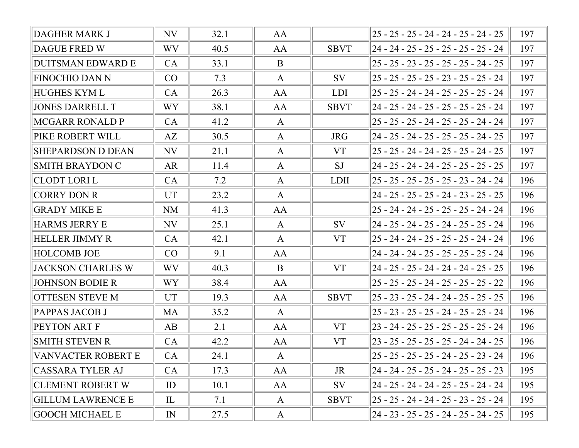| <b>DAGHER MARK J</b>     | <b>NV</b>    | 32.1 | AA           |             | 25 - 25 - 25 - 24 - 24 - 25 - 24 - 25     | 197 |
|--------------------------|--------------|------|--------------|-------------|-------------------------------------------|-----|
| <b>DAGUE FRED W</b>      | <b>WV</b>    | 40.5 | AA           | <b>SBVT</b> | 24 - 24 - 25 - 25 - 25 - 25 - 25 - 24     | 197 |
| <b>DUITSMAN EDWARD E</b> | CA           | 33.1 | B            |             | 25 - 25 - 23 - 25 - 25 - 25 - 24 - 25     | 197 |
| <b>FINOCHIO DAN N</b>    | CO           | 7.3  | A            | <b>SV</b>   | $25 - 25 - 25 - 25 - 23 - 25 - 25 - 24$   | 197 |
| <b>HUGHES KYML</b>       | CA           | 26.3 | AA           | <b>LDI</b>  | 25 - 25 - 24 - 24 - 25 - 25 - 25 - 24     | 197 |
| <b>JONES DARRELL T</b>   | WY           | 38.1 | AA           | <b>SBVT</b> | 24 - 25 - 24 - 25 - 25 - 25 - 25 - 24     | 197 |
| <b>MCGARR RONALD P</b>   | CA           | 41.2 | A            |             | $25 - 25 - 25 - 24 - 25 - 25 - 24 - 24$   | 197 |
| PIKE ROBERT WILL         | AZ           | 30.5 | $\mathbf{A}$ | <b>JRG</b>  | 24 - 25 - 24 - 25 - 25 - 25 - 24 - 25     | 197 |
| <b>SHEPARDSON D DEAN</b> | NV           | 21.1 | A            | <b>VT</b>   | 25 - 25 - 24 - 24 - 25 - 25 - 24 - 25     | 197 |
| <b>SMITH BRAYDON C</b>   | <b>AR</b>    | 11.4 | A            | SJ          | 24 - 25 - 24 - 24 - 25 - 25 - 25 - 25     | 197 |
| <b>CLODT LORI L</b>      | CA           | 7.2  | $\mathbf{A}$ | <b>LDII</b> | 25 - 25 - 25 - 25 - 25 - 23 - 24 - 24     | 196 |
| <b>CORRY DON R</b>       | UT           | 23.2 | $\mathbf{A}$ |             | 24 - 25 - 25 - 25 - 24 - 23 - 25 - 25     | 196 |
| <b>GRADY MIKE E</b>      | <b>NM</b>    | 41.3 | AA           |             | 25 - 24 - 24 - 25 - 25 - 25 - 24 - 24     | 196 |
| <b>HARMS JERRY E</b>     | NV           | 25.1 | $\mathbf{A}$ | SV          | 24 - 25 - 24 - 25 - 24 - 25 - 25 - 24     | 196 |
| <b>HELLER JIMMY R</b>    | CA           | 42.1 | A            | <b>VT</b>   | 25 - 24 - 24 - 25 - 25 - 25 - 24 - 24     | 196 |
| <b>HOLCOMB JOE</b>       | CO           | 9.1  | AA           |             | 24 - 24 - 24 - 25 - 25 - 25 - 25 - 24     | 196 |
| <b>JACKSON CHARLES W</b> | <b>WV</b>    | 40.3 | $\mathbf{B}$ | <b>VT</b>   | $24 - 25 - 25 - 24 - 24 - 24 - 25 - 25$   | 196 |
| <b>JOHNSON BODIE R</b>   | <b>WY</b>    | 38.4 | AA           |             | 25 - 25 - 25 - 24 - 25 - 25 - 25 - 22     | 196 |
| <b>OTTESEN STEVE M</b>   | <b>UT</b>    | 19.3 | AA           | <b>SBVT</b> | $25 - 23 - 25 - 24 - 24 - 25 - 25 - 25$   | 196 |
| PAPPAS JACOB J           | MA           | 35.2 | $\mathbf{A}$ |             | 25 - 23 - 25 - 25 - 24 - 25 - 25 - 24     | 196 |
| PEYTON ART F             | AB           | 2.1  | AA           | <b>VT</b>   | 23 - 24 - 25 - 25 - 25 - 25 - 25 - 24     | 196 |
| <b>SMITH STEVEN R</b>    | CA           | 42.2 | AA           | <b>VT</b>   | $23 - 25 - 25 - 25 - 25 - 24 - 24 - 25$   | 196 |
| VANVACTER ROBERT E       | CA           | 24.1 | $\mathbf{A}$ |             | $ 25 - 25 - 25 - 25 - 24 - 25 - 23 - 24 $ | 196 |
| <b>CASSARA TYLER AJ</b>  | <b>CA</b>    | 17.3 | AA           | JR          | 24 - 24 - 25 - 25 - 24 - 25 - 25 - 23     | 195 |
| <b>CLEMENT ROBERT W</b>  | ID           | 10.1 | AA           | SV          | 24 - 25 - 24 - 24 - 25 - 25 - 24 - 24     | 195 |
| <b>GILLUM LAWRENCE E</b> | IL           | 7.1  | A            | <b>SBVT</b> | 25 - 25 - 24 - 24 - 25 - 23 - 25 - 24     | 195 |
| <b>GOOCH MICHAEL E</b>   | $\mathbb{N}$ | 27.5 | A            |             | 24 - 23 - 25 - 25 - 24 - 25 - 24 - 25     | 195 |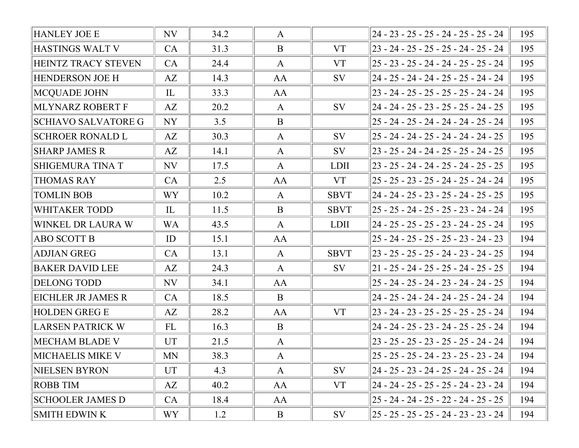| <b>HANLEY JOE E</b>        | <b>NV</b>                  | 34.2 | A            |             | 24 - 23 - 25 - 25 - 24 - 25 - 25 - 24     | 195 |
|----------------------------|----------------------------|------|--------------|-------------|-------------------------------------------|-----|
| HASTINGS WALT V            | CA                         | 31.3 | $\mathbf{B}$ | <b>VT</b>   | 23 - 24 - 25 - 25 - 25 - 24 - 25 - 24     | 195 |
| <b>HEINTZ TRACY STEVEN</b> | CA                         | 24.4 | $\mathbf{A}$ | <b>VT</b>   | 25 - 23 - 25 - 24 - 24 - 25 - 25 - 24     | 195 |
| <b>HENDERSON JOE H</b>     | AZ                         | 14.3 | AA           | <b>SV</b>   | 24 - 25 - 24 - 24 - 25 - 25 - 24 - 24     | 195 |
| MCQUADE JOHN               | IL                         | 33.3 | AA           |             | 23 - 24 - 25 - 25 - 25 - 25 - 24 - 24     | 195 |
| MLYNARZ ROBERT F           | AZ                         | 20.2 | A            | <b>SV</b>   | $24 - 24 - 25 - 23 - 25 - 25 - 24 - 25$   | 195 |
| <b>SCHIAVO SALVATORE G</b> | <b>NY</b>                  | 3.5  | $\mathbf{B}$ |             | $25 - 24 - 25 - 24 - 24 - 24 - 25 - 24$   | 195 |
| <b>SCHROER RONALD L</b>    | AZ                         | 30.3 | $\mathbf{A}$ | <b>SV</b>   | 25 - 24 - 24 - 25 - 24 - 24 - 24 - 25     | 195 |
| <b>SHARP JAMES R</b>       | AZ                         | 14.1 | $\mathbf{A}$ | SV          | 23 - 25 - 24 - 24 - 25 - 25 - 24 - 25     | 195 |
| <b>SHIGEMURA TINA T</b>    | <b>NV</b>                  | 17.5 | $\mathbf{A}$ | <b>LDII</b> | 23 - 25 - 24 - 24 - 25 - 24 - 25 - 25     | 195 |
| <b>THOMAS RAY</b>          | CA                         | 2.5  | AA           | <b>VT</b>   | 25 - 25 - 23 - 25 - 24 - 25 - 24 - 24     | 195 |
| <b>TOMLIN BOB</b>          | <b>WY</b>                  | 10.2 | A            | <b>SBVT</b> | 24 - 24 - 25 - 23 - 25 - 24 - 25 - 25     | 195 |
| <b>WHITAKER TODD</b>       | $\mathop{\rm IL}\nolimits$ | 11.5 | $\mathbf{B}$ | <b>SBVT</b> | $25 - 25 - 24 - 25 - 25 - 23 - 24 - 24$   | 195 |
| WINKEL DR LAURA W          | <b>WA</b>                  | 43.5 | $\mathbf{A}$ | <b>LDII</b> | 24 - 25 - 25 - 25 - 23 - 24 - 25 - 24     | 195 |
| <b>ABO SCOTT B</b>         | ID                         | 15.1 | AA           |             | 25 - 24 - 25 - 25 - 25 - 23 - 24 - 23     | 194 |
| <b>ADJIAN GREG</b>         | CA                         | 13.1 | $\mathbf{A}$ | <b>SBVT</b> | 23 - 25 - 25 - 25 - 24 - 23 - 24 - 25     | 194 |
| <b>BAKER DAVID LEE</b>     | AZ                         | 24.3 | $\mathbf{A}$ | <b>SV</b>   | 21 - 25 - 24 - 25 - 25 - 24 - 25 - 25     | 194 |
| <b>DELONG TODD</b>         | NV                         | 34.1 | AA           |             | $25 - 24 - 25 - 24 - 23 - 24 - 24 - 25$   | 194 |
| EICHLER JR JAMES R         | CA                         | 18.5 | $\mathbf{B}$ |             | 24 - 25 - 24 - 24 - 24 - 25 - 24 - 24     | 194 |
| <b>HOLDEN GREG E</b>       | AZ                         | 28.2 | AA           | <b>VT</b>   | 23 - 24 - 23 - 25 - 25 - 25 - 25 - 24     | 194 |
| <b>LARSEN PATRICK W</b>    | FL                         | 16.3 | B            |             | 24 - 24 - 25 - 23 - 24 - 25 - 25 - 24     | 194 |
| <b>MECHAM BLADE V</b>      | <b>UT</b>                  | 21.5 | A            |             | 23 - 25 - 25 - 23 - 25 - 25 - 24 - 24     | 194 |
| MICHAELIS MIKE V           | <b>MN</b>                  | 38.3 | $\mathbf{A}$ |             | $ 25 - 25 - 25 - 24 - 23 - 25 - 23 - 24 $ | 194 |
| <b>NIELSEN BYRON</b>       | UT                         | 4.3  | A            | SV          | 24 - 25 - 23 - 24 - 25 - 24 - 25 - 24     | 194 |
| <b>ROBB TIM</b>            | AZ                         | 40.2 | AA           | <b>VT</b>   | 24 - 24 - 25 - 25 - 25 - 24 - 23 - 24     | 194 |
| <b>SCHOOLER JAMES D</b>    | <b>CA</b>                  | 18.4 | AA           |             | 25 - 24 - 24 - 25 - 22 - 24 - 25 - 25     | 194 |
| <b>SMITH EDWIN K</b>       | <b>WY</b>                  | 1.2  | B            | SV          | 25 - 25 - 25 - 25 - 24 - 23 - 23 - 24     | 194 |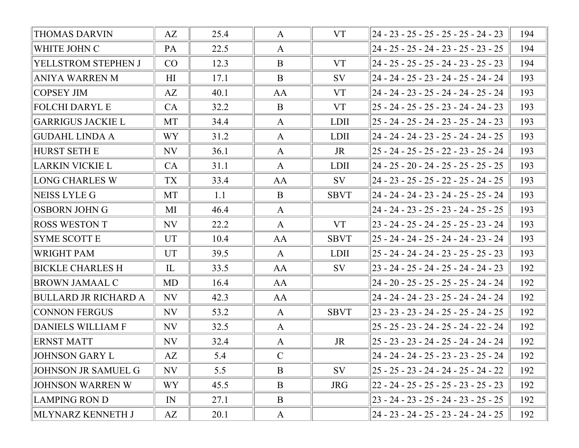| <b>THOMAS DARVIN</b>        | AZ           | 25.4 | A             | <b>VT</b>   | 24 - 23 - 25 - 25 - 25 - 25 - 24 - 23                | 194 |
|-----------------------------|--------------|------|---------------|-------------|------------------------------------------------------|-----|
| WHITE JOHN C                | PA           | 22.5 | $\mathbf{A}$  |             | 24 - 25 - 25 - 24 - 23 - 25 - 23 - 25                | 194 |
| YELLSTROM STEPHEN J         | CO           | 12.3 | B             | <b>VT</b>   | 24 - 25 - 25 - 25 - 24 - 23 - 25 - 23                | 194 |
| <b>ANIYA WARREN M</b>       | H1           | 17.1 | B             | <b>SV</b>   | 24 - 24 - 25 - 23 - 24 - 25 - 24 - 24                | 193 |
| <b>COPSEY JIM</b>           | AZ           | 40.1 | AA            | <b>VT</b>   | 24 - 24 - 23 - 25 - 24 - 24 - 25 - 24                | 193 |
| <b>FOLCHI DARYL E</b>       | CA           | 32.2 | B             | <b>VT</b>   | 25 - 24 - 25 - 25 - 23 - 24 - 24 - 23                | 193 |
| <b>GARRIGUS JACKIE L</b>    | <b>MT</b>    | 34.4 | A             | <b>LDII</b> | 25 - 24 - 25 - 24 - 23 - 25 - 24 - 23                | 193 |
| <b>GUDAHL LINDA A</b>       | <b>WY</b>    | 31.2 | $\mathbf{A}$  | <b>LDII</b> | 24 - 24 - 24 - 23 - 25 - 24 - 24 - 25                | 193 |
| <b>HURST SETH E</b>         | NV           | 36.1 | A             | JR          | 25 - 24 - 25 - 25 - 22 - 23 - 25 - 24                | 193 |
| <b>LARKIN VICKIE L</b>      | CA           | 31.1 | $\mathbf{A}$  | <b>LDII</b> | 24 - 25 - 20 - 24 - 25 - 25 - 25 - 25                | 193 |
| <b>LONG CHARLES W</b>       | TX           | 33.4 | AA            | SV          | 24 - 23 - 25 - 25 - 22 - 25 - 24 - 25                | 193 |
| <b>NEISS LYLE G</b>         | MT           | 1.1  | B             | <b>SBVT</b> | 24 - 24 - 24 - 23 - 24 - 25 - 25 - 24                | 193 |
| <b>OSBORN JOHN G</b>        | MI           | 46.4 | A             |             | 24 - 24 - 23 - 25 - 23 - 24 - 25 - 25                | 193 |
| <b>ROSS WESTON T</b>        | NV           | 22.2 | $\mathbf{A}$  | <b>VT</b>   | 23 - 24 - 25 - 24 - 25 - 25 - 23 - 24                | 193 |
| <b>SYME SCOTT E</b>         | UT           | 10.4 | AA            | <b>SBVT</b> | 25 - 24 - 24 - 25 - 24 - 24 - 23 - 24                | 193 |
| <b>WRIGHT PAM</b>           | <b>UT</b>    | 39.5 | $\mathbf{A}$  | <b>LDII</b> | 25 - 24 - 24 - 24 - 23 - 25 - 25 - 23                | 193 |
| <b>BICKLE CHARLES H</b>     | IL           | 33.5 | AA            | SV          | 23 - 24 - 25 - 24 - 25 - 24 - 24 - 23                | 192 |
| <b>BROWN JAMAAL C</b>       | <b>MD</b>    | 16.4 | AA            |             | 24 - 20 - 25 - 25 - 25 - 25 - 24 - 24                | 192 |
| <b>BULLARD JR RICHARD A</b> | <b>NV</b>    | 42.3 | AA            |             | 24 - 24 - 24 - 23 - 25 - 24 - 24 - 24                | 192 |
| <b>CONNON FERGUS</b>        | NV           | 53.2 | A             | <b>SBVT</b> | 23 - 23 - 23 - 24 - 25 - 25 - 24 - 25                | 192 |
| <b>DANIELS WILLIAM F</b>    | NV           | 32.5 | A             |             | 25 - 25 - 23 - 24 - 25 - 24 - 22 - 24                | 192 |
| <b>ERNST MATT</b>           | NV           | 32.4 | A             | JR          | 25 - 23 - 23 - 24 - 25 - 24 - 24 - 24                | 192 |
| JOHNSON GARY L              | AZ           | 5.4  | $\mathcal{C}$ |             | $\left 24 - 24 - 24 - 25 - 23 - 23 - 25 - 24\right $ | 192 |
| <b>JOHNSON JR SAMUEL G</b>  | NV           | 5.5  | B             | <b>SV</b>   | 25 - 25 - 23 - 24 - 24 - 25 - 24 - 22                | 192 |
| <b>JOHNSON WARREN W</b>     | WY           | 45.5 | B             | <b>JRG</b>  | 22 - 24 - 25 - 25 - 25 - 23 - 25 - 23                | 192 |
| <b>LAMPING RON D</b>        | $\mathbb{N}$ | 27.1 | $\mathbf{B}$  |             | $ 23 - 24 - 23 - 25 - 24 - 23 - 25 - 25 $            | 192 |
| MLYNARZ KENNETH J           | AZ           | 20.1 | A             |             | 24 - 23 - 24 - 25 - 23 - 24 - 24 - 25                | 192 |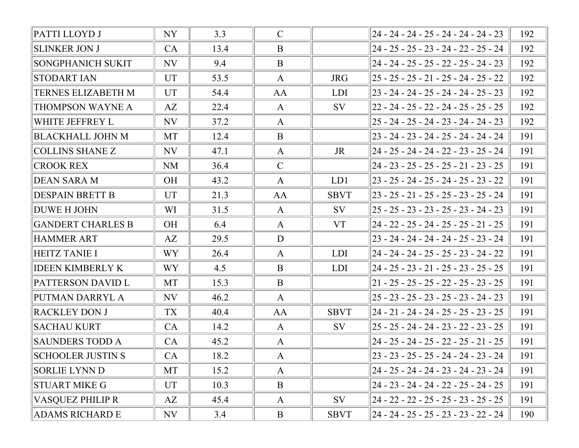| PATTI LLOYD J            | NY        | 3.3  | $\mathcal{C}$ |             | 24 - 24 - 24 - 25 - 24 - 24 - 24 - 23                | 192 |
|--------------------------|-----------|------|---------------|-------------|------------------------------------------------------|-----|
| <b>SLINKER JON J</b>     | CA        | 13.4 | $\mathbf{B}$  |             | 24 - 25 - 25 - 23 - 24 - 22 - 25 - 24                | 192 |
| SONGPHANICH SUKIT        | <b>NV</b> | 9.4  | B             |             | 24 - 24 - 25 - 25 - 22 - 25 - 24 - 23                | 192 |
| <b>STODART IAN</b>       | UT        | 53.5 | A             | <b>JRG</b>  | 25 - 25 - 25 - 21 - 25 - 24 - 25 - 22                | 192 |
| TERNES ELIZABETH M       | <b>UT</b> | 54.4 | AA            | <b>LDI</b>  | 23 - 24 - 24 - 25 - 24 - 24 - 25 - 23                | 192 |
| <b>THOMPSON WAYNE A</b>  | AZ        | 22.4 | A             | <b>SV</b>   | 22 - 24 - 25 - 22 - 24 - 25 - 25 - 25                | 192 |
| WHITE JEFFREY L          | NV        | 37.2 | $\mathbf{A}$  |             | 25 - 24 - 25 - 24 - 23 - 24 - 24 - 23                | 192 |
| <b>BLACKHALL JOHN M</b>  | MT        | 12.4 | $\mathbf{B}$  |             | 23 - 24 - 23 - 24 - 25 - 24 - 24 - 24                | 191 |
| <b>COLLINS SHANE Z</b>   | NV        | 47.1 | A             | JR          | 24 - 25 - 24 - 24 - 22 - 23 - 25 - 24                | 191 |
| <b>CROOK REX</b>         | <b>NM</b> | 36.4 | $\mathcal{C}$ |             | 24 - 23 - 25 - 25 - 25 - 21 - 23 - 25                | 191 |
| <b>DEAN SARA M</b>       | <b>OH</b> | 43.2 | $\mathbf{A}$  | LD1         | 23 - 25 - 24 - 25 - 24 - 25 - 23 - 22                | 191 |
| <b>DESPAIN BRETT B</b>   | UT        | 21.3 | AA            | <b>SBVT</b> | $ 23 - 25 - 21 - 25 - 25 - 23 - 25 - 24 $            | 191 |
| <b>DUWE H JOHN</b>       | WI        | 31.5 | $\mathbf{A}$  | <b>SV</b>   | 25 - 25 - 23 - 23 - 25 - 23 - 24 - 23                | 191 |
| <b>GANDERT CHARLES B</b> | <b>OH</b> | 6.4  | $\mathbf{A}$  | <b>VT</b>   | 24 - 22 - 25 - 24 - 25 - 25 - 21 - 25                | 191 |
| <b>HAMMER ART</b>        | AZ        | 29.5 | D             |             | 23 - 24 - 24 - 24 - 24 - 25 - 23 - 24                | 191 |
| <b>HEITZ TANIE I</b>     | <b>WY</b> | 26.4 | A             | <b>LDI</b>  | 24 - 24 - 24 - 25 - 25 - 23 - 24 - 22                | 191 |
| <b>IDEEN KIMBERLY K</b>  | <b>WY</b> | 4.5  | $\mathbf{B}$  | <b>LDI</b>  | 24 - 25 - 23 - 21 - 25 - 23 - 25 - 25                | 191 |
| PATTERSON DAVID L        | MT        | 15.3 | B             |             | $ 21 - 25 - 25 - 25 - 22 - 25 - 23 - 25 $            | 191 |
| PUTMAN DARRYL A          | <b>NV</b> | 46.2 | $\mathbf{A}$  |             | 25 - 23 - 25 - 23 - 25 - 23 - 24 - 23                | 191 |
| <b>RACKLEY DON J</b>     | TX        | 40.4 | AA            | <b>SBVT</b> | 24 - 21 - 24 - 24 - 25 - 25 - 23 - 25                | 191 |
| <b>SACHAU KURT</b>       | CA        | 14.2 | A             | <b>SV</b>   | 25 - 25 - 24 - 24 - 23 - 22 - 23 - 25                | 191 |
| <b>SAUNDERS TODD A</b>   | CA        | 45.2 | A             |             | 24 - 25 - 24 - 25 - 22 - 25 - 21 - 25                | 191 |
| <b>SCHOOLER JUSTIN S</b> | CA        | 18.2 | $\mathbf{A}$  |             | $\left 23 - 23 - 25 - 25 - 24 - 24 - 23 - 24\right $ | 191 |
| <b>SORLIE LYNN D</b>     | MT        | 15.2 | A             |             | 24 - 25 - 24 - 24 - 23 - 24 - 23 - 24                | 191 |
| <b>STUART MIKE G</b>     | UT        | 10.3 | B             |             | 24 - 23 - 24 - 24 - 22 - 25 - 24 - 25                | 191 |
| <b>VASQUEZ PHILIP R</b>  | AZ        | 45.4 | A             | <b>SV</b>   | 24 - 22 - 22 - 25 - 25 - 23 - 25 - 25                | 191 |
| <b>ADAMS RICHARD E</b>   | NV        | 3.4  | B             | <b>SBVT</b> | 24 - 24 - 25 - 25 - 23 - 23 - 22 - 24                | 190 |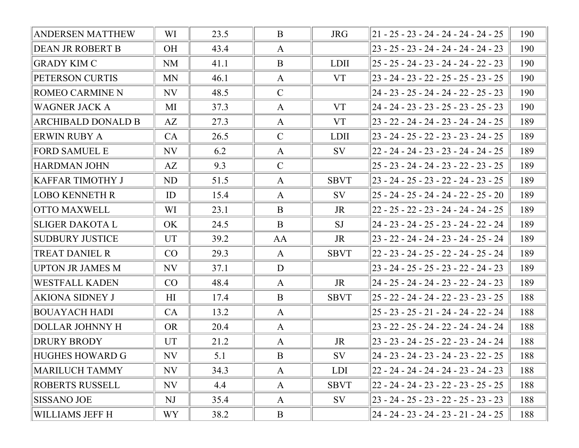| <b>ANDERSEN MATTHEW</b>   | WI              | 23.5 | $\mathbf{B}$  | <b>JRG</b>  | 21 - 25 - 23 - 24 - 24 - 24 - 24 - 25     | 190 |
|---------------------------|-----------------|------|---------------|-------------|-------------------------------------------|-----|
| <b>DEAN JR ROBERT B</b>   | <b>OH</b>       | 43.4 | $\mathbf{A}$  |             | 23 - 25 - 23 - 24 - 24 - 24 - 24 - 23     | 190 |
| <b>GRADY KIM C</b>        | <b>NM</b>       | 41.1 | B             | <b>LDII</b> | 25 - 25 - 24 - 23 - 24 - 24 - 22 - 23     | 190 |
| <b>PETERSON CURTIS</b>    | <b>MN</b>       | 46.1 | $\mathbf{A}$  | <b>VT</b>   | $ 23 - 24 - 23 - 22 - 25 - 25 - 23 - 25 $ | 190 |
| <b>ROMEO CARMINE N</b>    | NV              | 48.5 | $\mathcal{C}$ |             | 24 - 23 - 25 - 24 - 24 - 22 - 25 - 23     | 190 |
| <b>WAGNER JACK A</b>      | MI              | 37.3 | A             | <b>VT</b>   | 24 - 24 - 23 - 23 - 25 - 23 - 25 - 23     | 190 |
| <b>ARCHIBALD DONALD B</b> | AZ              | 27.3 | $\mathbf{A}$  | <b>VT</b>   | 23 - 22 - 24 - 24 - 23 - 24 - 24 - 25     | 189 |
| ERWIN RUBY A              | CA              | 26.5 | $\mathcal{C}$ | <b>LDII</b> | 23 - 24 - 25 - 22 - 23 - 23 - 24 - 25     | 189 |
| <b>FORD SAMUEL E</b>      | NV              | 6.2  | $\mathbf{A}$  | <b>SV</b>   | 22 - 24 - 24 - 23 - 23 - 24 - 24 - 25     | 189 |
| HARDMAN JOHN              | AZ              | 9.3  | $\mathcal{C}$ |             | 25 - 23 - 24 - 24 - 23 - 22 - 23 - 25     | 189 |
| <b>KAFFAR TIMOTHY J</b>   | <b>ND</b>       | 51.5 | $\mathbf{A}$  | <b>SBVT</b> | 23 - 24 - 25 - 23 - 22 - 24 - 23 - 25     | 189 |
| LOBO KENNETH R            | ID              | 15.4 | A             | <b>SV</b>   | 25 - 24 - 25 - 24 - 24 - 22 - 25 - 20     | 189 |
| <b>OTTO MAXWELL</b>       | WI              | 23.1 | $\mathbf{B}$  | JR          | 22 - 25 - 22 - 23 - 24 - 24 - 24 - 25     | 189 |
| SLIGER DAKOTA L           | <b>OK</b>       | 24.5 | $\mathbf{B}$  | SJ          | 24 - 23 - 24 - 25 - 23 - 24 - 22 - 24     | 189 |
| <b>SUDBURY JUSTICE</b>    | <b>UT</b>       | 39.2 | AA            | JR          | 23 - 22 - 24 - 24 - 23 - 24 - 25 - 24     | 189 |
| <b>TREAT DANIEL R</b>     | CO              | 29.3 | $\mathbf{A}$  | <b>SBVT</b> | 22 - 23 - 24 - 25 - 22 - 24 - 25 - 24     | 189 |
| UPTON JR JAMES M          | NV              | 37.1 | D             |             | 23 - 24 - 25 - 25 - 23 - 22 - 24 - 23     | 189 |
| <b>WESTFALL KADEN</b>     | CO              | 48.4 | A             | JR          | 24 - 25 - 24 - 24 - 23 - 22 - 24 - 23     | 189 |
| <b>AKIONA SIDNEY J</b>    | H <sub>I</sub>  | 17.4 | $\mathbf{B}$  | <b>SBVT</b> | 25 - 22 - 24 - 24 - 22 - 23 - 23 - 25     | 188 |
| BOUAYACH HADI             | CA              | 13.2 | $\mathbf{A}$  |             | 25 - 23 - 25 - 21 - 24 - 24 - 22 - 24     | 188 |
| DOLLAR JOHNNY H           | <b>OR</b>       | 20.4 | A             |             | 23 - 22 - 25 - 24 - 22 - 24 - 24 - 24     | 188 |
| <b>DRURY BRODY</b>        | <b>UT</b>       | 21.2 | $\mathbf{A}$  | <b>JR</b>   | $23 - 23 - 24 - 25 - 22 - 23 - 24 - 24$   | 188 |
| HUGHES HOWARD G           | <b>NV</b>       | 5.1  | $\mathbf{B}$  | SV          | 24 - 23 - 24 - 23 - 24 - 23 - 22 - 25     | 188 |
| MARILUCH TAMMY            | NV              | 34.3 | A             | <b>LDI</b>  | 22 - 24 - 24 - 24 - 24 - 23 - 24 - 23     | 188 |
| <b>ROBERTS RUSSELL</b>    | NV              | 4.4  | A             | <b>SBVT</b> | 22 - 24 - 24 - 23 - 22 - 23 - 25 - 25     | 188 |
| <b>SISSANO JOE</b>        | NJ              | 35.4 | A             | SV          | 23 - 24 - 25 - 23 - 22 - 25 - 23 - 23     | 188 |
| WILLIAMS JEFF H           | WY <sup>-</sup> | 38.2 | B             |             | 24 - 24 - 23 - 24 - 23 - 21 - 24 - 25     | 188 |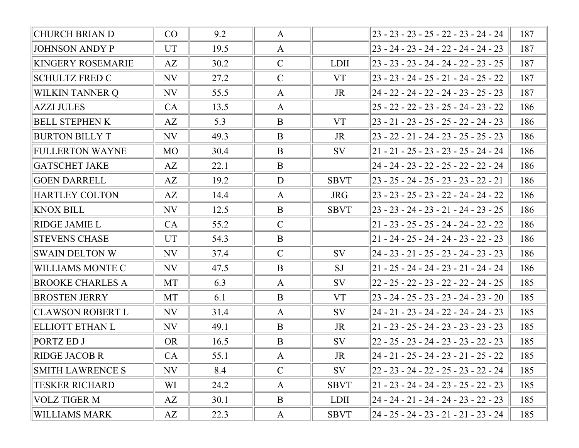| <b>CHURCH BRIAN D</b>    | CO        | 9.2  | A             |             | 23 - 23 - 23 - 25 - 22 - 23 - 24 - 24     | 187 |
|--------------------------|-----------|------|---------------|-------------|-------------------------------------------|-----|
| <b>JOHNSON ANDY P</b>    | UT        | 19.5 | $\mathbf{A}$  |             | 23 - 24 - 23 - 24 - 22 - 24 - 24 - 23     | 187 |
| <b>KINGERY ROSEMARIE</b> | AZ        | 30.2 | $\mathcal{C}$ | <b>LDII</b> | 23 - 23 - 23 - 24 - 24 - 22 - 23 - 25     | 187 |
| <b>SCHULTZ FRED C</b>    | <b>NV</b> | 27.2 | $\mathcal{C}$ | <b>VT</b>   | 23 - 23 - 24 - 25 - 21 - 24 - 25 - 22     | 187 |
| <b>WILKIN TANNER Q</b>   | NV        | 55.5 | $\mathbf{A}$  | JR          | 24 - 22 - 24 - 22 - 24 - 23 - 25 - 23     | 187 |
| <b>AZZI JULES</b>        | CA        | 13.5 | $\mathbf{A}$  |             | 25 - 22 - 22 - 23 - 25 - 24 - 23 - 22     | 186 |
| <b>BELL STEPHEN K</b>    | AZ        | 5.3  | B             | <b>VT</b>   | $ 23 - 21 - 23 - 25 - 25 - 22 - 24 - 23 $ | 186 |
| <b>BURTON BILLY T</b>    | <b>NV</b> | 49.3 | $\mathbf{B}$  | JR          | 23 - 22 - 21 - 24 - 23 - 25 - 25 - 23     | 186 |
| <b>FULLERTON WAYNE</b>   | <b>MO</b> | 30.4 | B             | <b>SV</b>   | 21 - 21 - 25 - 23 - 23 - 25 - 24 - 24     | 186 |
| <b>GATSCHET JAKE</b>     | AZ        | 22.1 | $\mathbf{B}$  |             | 24 - 24 - 23 - 22 - 25 - 22 - 22 - 24     | 186 |
| <b>GOEN DARRELL</b>      | AZ        | 19.2 | D             | <b>SBVT</b> | 23 - 25 - 24 - 25 - 23 - 23 - 22 - 21     | 186 |
| <b>HARTLEY COLTON</b>    | AZ        | 14.4 | $\mathbf{A}$  | <b>JRG</b>  | 23 - 23 - 25 - 23 - 22 - 24 - 24 - 22     | 186 |
| <b>KNOX BILL</b>         | NV        | 12.5 | $\mathbf{B}$  | <b>SBVT</b> | 23 - 23 - 24 - 23 - 21 - 24 - 23 - 25     | 186 |
| <b>RIDGE JAMIE L</b>     | CA        | 55.2 | $\mathcal{C}$ |             | 21 - 23 - 25 - 25 - 24 - 24 - 22 - 22     | 186 |
| <b>STEVENS CHASE</b>     | UT        | 54.3 | $\mathbf{B}$  |             | 21 - 24 - 25 - 24 - 24 - 23 - 22 - 23     | 186 |
| <b>SWAIN DELTON W</b>    | <b>NV</b> | 37.4 | $\mathcal{C}$ | <b>SV</b>   | 24 - 23 - 21 - 25 - 23 - 24 - 23 - 23     | 186 |
| WILLIAMS MONTE C         | <b>NV</b> | 47.5 | $\mathbf{B}$  | <b>SJ</b>   | 21 - 25 - 24 - 24 - 23 - 21 - 24 - 24     | 186 |
| <b>BROOKE CHARLES A</b>  | MT        | 6.3  | $\mathbf{A}$  | <b>SV</b>   | 22 - 25 - 22 - 23 - 22 - 22 - 24 - 25     | 185 |
| <b>BROSTEN JERRY</b>     | MT        | 6.1  | $\mathbf{B}$  | <b>VT</b>   | 23 - 24 - 25 - 23 - 23 - 24 - 23 - 20     | 185 |
| <b>CLAWSON ROBERT L</b>  | <b>NV</b> | 31.4 | $\mathbf{A}$  | SV          | 24 - 21 - 23 - 24 - 22 - 24 - 24 - 23     | 185 |
| ELLIOTT ETHAN L          | NV        | 49.1 | B             | JR          | $ 21 - 23 - 25 - 24 - 23 - 23 - 23 - 23 $ | 185 |
| PORTZ ED J               | <b>OR</b> | 16.5 | $\mathbf{B}$  | <b>SV</b>   | $22 - 25 - 23 - 24 - 23 - 23 - 22 - 23$   | 185 |
| <b>RIDGE JACOB R</b>     | CA        | 55.1 | $\mathbf{A}$  | <b>JR</b>   | $ 24 - 21 - 25 - 24 - 23 - 21 - 25 - 22 $ | 185 |
| <b>SMITH LAWRENCE S</b>  | <b>NV</b> | 8.4  | $\mathcal{C}$ | SV          | 22 - 23 - 24 - 22 - 25 - 23 - 22 - 24     | 185 |
| <b>TESKER RICHARD</b>    | WI        | 24.2 | A             | <b>SBVT</b> | 21 - 23 - 24 - 24 - 23 - 25 - 22 - 23     | 185 |
| <b>VOLZ TIGER M</b>      | AZ        | 30.1 | B             | <b>LDII</b> | 24 - 24 - 21 - 24 - 24 - 23 - 22 - 23     | 185 |
| <b>WILLIAMS MARK</b>     | AZ        | 22.3 | A             | <b>SBVT</b> | 24 - 25 - 24 - 23 - 21 - 21 - 23 - 24     | 185 |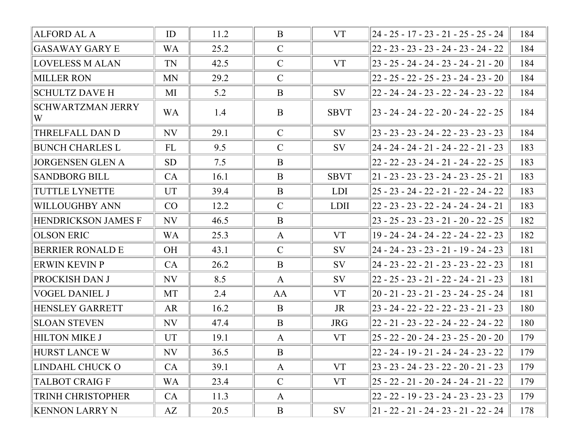| <b>ALFORD AL A</b>            | ID        | 11.2 | B             | <b>VT</b>   | 24 - 25 - 17 - 23 - 21 - 25 - 25 - 24     | 184 |
|-------------------------------|-----------|------|---------------|-------------|-------------------------------------------|-----|
| <b>GASAWAY GARY E</b>         | <b>WA</b> | 25.2 | $\mathcal{C}$ |             | 22 - 23 - 23 - 23 - 24 - 23 - 24 - 22     | 184 |
| <b>LOVELESS M ALAN</b>        | <b>TN</b> | 42.5 | $\mathcal{C}$ | <b>VT</b>   | 23 - 25 - 24 - 24 - 23 - 24 - 21 - 20     | 184 |
| <b>MILLER RON</b>             | <b>MN</b> | 29.2 | $\mathcal{C}$ |             | 22 - 25 - 22 - 25 - 23 - 24 - 23 - 20     | 184 |
| <b>SCHULTZ DAVE H</b>         | MI        | 5.2  | $\mathbf{B}$  | <b>SV</b>   | 22 - 24 - 24 - 23 - 22 - 24 - 23 - 22     | 184 |
| <b>SCHWARTZMAN JERRY</b><br>W | <b>WA</b> | 1.4  | B             | <b>SBVT</b> | 23 - 24 - 24 - 22 - 20 - 24 - 22 - 25     | 184 |
| THRELFALL DAN D               | NV        | 29.1 | $\mathcal{C}$ | <b>SV</b>   | 23 - 23 - 23 - 24 - 22 - 23 - 23 - 23     | 184 |
| <b>BUNCH CHARLES L</b>        | FL        | 9.5  | $\mathcal{C}$ | <b>SV</b>   | 24 - 24 - 24 - 21 - 24 - 22 - 21 - 23     | 183 |
| <b>JORGENSEN GLEN A</b>       | <b>SD</b> | 7.5  | B             |             | 22 - 22 - 23 - 24 - 21 - 24 - 22 - 25     | 183 |
| <b>SANDBORG BILL</b>          | CA        | 16.1 | B             | <b>SBVT</b> | 21 - 23 - 23 - 23 - 24 - 23 - 25 - 21     | 183 |
| <b>TUTTLE LYNETTE</b>         | <b>UT</b> | 39.4 | B             | LDI         | 25 - 23 - 24 - 22 - 21 - 22 - 24 - 22     | 183 |
| <b>WILLOUGHBY ANN</b>         | CO        | 12.2 | $\mathcal{C}$ | <b>LDII</b> | 22 - 23 - 23 - 22 - 24 - 24 - 24 - 21     | 183 |
| HENDRICKSON JAMES F           | <b>NV</b> | 46.5 | B             |             | 23 - 25 - 23 - 23 - 21 - 20 - 22 - 25     | 182 |
| <b>OLSON ERIC</b>             | <b>WA</b> | 25.3 | $\mathbf{A}$  | <b>VT</b>   | $19 - 24 - 24 - 24 - 22 - 24 - 22 - 23$   | 182 |
| <b>BERRIER RONALD E</b>       | <b>OH</b> | 43.1 | $\mathcal{C}$ | <b>SV</b>   | 24 - 24 - 23 - 23 - 21 - 19 - 24 - 23     | 181 |
| <b>ERWIN KEVIN P</b>          | CA        | 26.2 | B             | <b>SV</b>   | 24 - 23 - 22 - 21 - 23 - 23 - 22 - 23     | 181 |
| PROCKISH DAN J                | NV        | 8.5  | $\mathbf{A}$  | <b>SV</b>   | 22 - 25 - 23 - 21 - 22 - 24 - 21 - 23     | 181 |
| <b>VOGEL DANIEL J</b>         | MT        | 2.4  | AA            | <b>VT</b>   | $ 20 - 21 - 23 - 21 - 23 - 24 - 25 - 24 $ | 181 |
| HENSLEY GARRETT               | AR        | 16.2 | B             | JR          | 23 - 24 - 22 - 22 - 22 - 23 - 21 - 23     | 180 |
| <b>SLOAN STEVEN</b>           | NV        | 47.4 | B             | <b>JRG</b>  | 22 - 21 - 23 - 22 - 24 - 22 - 24 - 22     | 180 |
| <b>HILTON MIKE J</b>          | <b>UT</b> | 19.1 | A             | <b>VT</b>   | $ 25 - 22 - 20 - 24 - 23 - 25 - 20 - 20 $ | 179 |
| HURST LANCE W                 | NV        | 36.5 | B             |             | 22 - 24 - 19 - 21 - 24 - 24 - 23 - 22     | 179 |
| LINDAHL CHUCK O               | CA        | 39.1 | A             | <b>VT</b>   | 23 - 23 - 24 - 23 - 22 - 20 - 21 - 23     | 179 |
| <b>TALBOT CRAIG F</b>         | <b>WA</b> | 23.4 | $\mathcal{C}$ | <b>VT</b>   | 25 - 22 - 21 - 20 - 24 - 24 - 21 - 22     | 179 |
| <b>TRINH CHRISTOPHER</b>      | <b>CA</b> | 11.3 | A             |             | 22 - 22 - 19 - 23 - 24 - 23 - 23 - 23     | 179 |
| <b>KENNON LARRY N</b>         | AZ        | 20.5 | B             | SV          | $ 21 - 22 - 21 - 24 - 23 - 21 - 22 - 24 $ | 178 |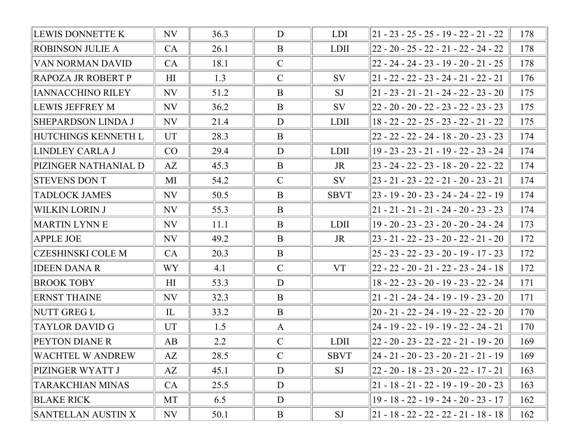| LEWIS DONNETTE K          | NV                         | 36.3 | D             | <b>LDI</b>  | 21 - 23 - 25 - 25 - 19 - 22 - 21 - 22     | 178 |
|---------------------------|----------------------------|------|---------------|-------------|-------------------------------------------|-----|
| ROBINSON JULIE A          | CA                         | 26.1 | $\mathbf{B}$  | <b>LDII</b> | 22 - 20 - 25 - 22 - 21 - 22 - 24 - 22     | 178 |
| VAN NORMAN DAVID          | CA                         | 18.1 | $\mathcal{C}$ |             | 22 - 24 - 24 - 23 - 19 - 20 - 21 - 25     | 178 |
| RAPOZA JR ROBERT P        | H                          | 1.3  | $\mathcal{C}$ | <b>SV</b>   | 21 - 22 - 22 - 23 - 24 - 21 - 22 - 21     | 176 |
| <b>IANNACCHINO RILEY</b>  | NV                         | 51.2 | $\mathbf{B}$  | SJ          | 21 - 23 - 21 - 21 - 24 - 22 - 23 - 20     | 175 |
| <b>LEWIS JEFFREY M</b>    | NV                         | 36.2 | B             | <b>SV</b>   | 22 - 20 - 20 - 22 - 23 - 22 - 23 - 23     | 175 |
| <b>SHEPARDSON LINDA J</b> | <b>NV</b>                  | 21.4 | D             | <b>LDII</b> | $18 - 22 - 22 - 25 - 23 - 22 - 21 - 22$   | 175 |
| HUTCHINGS KENNETH L       | UT                         | 28.3 | $\mathbf{B}$  |             | 22 - 22 - 22 - 24 - 18 - 20 - 23 - 23     | 174 |
| LINDLEY CARLA J           | CO                         | 29.4 | D             | <b>LDII</b> | $19 - 23 - 23 - 21 - 19 - 22 - 23 - 24$   | 174 |
| PIZINGER NATHANIAL D      | AZ                         | 45.3 | $\mathbf{B}$  | JR          | 23 - 24 - 22 - 23 - 18 - 20 - 22 - 22     | 174 |
| <b>STEVENS DON T</b>      | MI                         | 54.2 | $\mathcal{C}$ | <b>SV</b>   | 23 - 21 - 23 - 22 - 21 - 20 - 23 - 21     | 174 |
| <b>TADLOCK JAMES</b>      | NV                         | 50.5 | B             | <b>SBVT</b> | 23 - 19 - 20 - 23 - 24 - 24 - 22 - 19     | 174 |
| WILKIN LORIN J            | NV                         | 55.3 | $\mathbf{B}$  |             | 21 - 21 - 21 - 21 - 24 - 20 - 23 - 23     | 174 |
| MARTIN LYNN E             | NV                         | 11.1 | $\mathbf{B}$  | <b>LDII</b> | $19 - 20 - 23 - 23 - 20 - 20 - 24 - 24$   | 173 |
| <b>APPLE JOE</b>          | NV                         | 49.2 | B             | JR          | $ 23 - 21 - 22 - 23 - 20 - 22 - 21 - 20 $ | 172 |
| CZESHINSKI COLE M         | CA                         | 20.3 | $\mathbf{B}$  |             | 25 - 23 - 22 - 23 - 20 - 19 - 17 - 23     | 172 |
| <b>IDEEN DANA R</b>       | <b>WY</b>                  | 4.1  | $\mathcal{C}$ | <b>VT</b>   | 22 - 22 - 20 - 21 - 22 - 23 - 24 - 18     | 172 |
| <b>BROOK TOBY</b>         | HI                         | 53.3 | D             |             | $18 - 22 - 23 - 20 - 19 - 23 - 22 - 24$   | 171 |
| <b>ERNST THAINE</b>       | <b>NV</b>                  | 32.3 | $\mathbf{B}$  |             | 21 - 21 - 24 - 24 - 19 - 19 - 23 - 20     | 171 |
| NUTT GREG L               | $\mathop{\rm IL}\nolimits$ | 33.2 | $\mathbf{B}$  |             | $20 - 21 - 22 - 24 - 19 - 22 - 22 - 20$   | 170 |
| <b>TAYLOR DAVID G</b>     | UT                         | 1.5  | A             |             | 24 - 19 - 22 - 19 - 19 - 22 - 24 - 21     | 170 |
| <b>PEYTON DIANE R</b>     | AB                         | 2.2  | $\mathcal{C}$ | <b>LDII</b> | 22 - 20 - 23 - 22 - 22 - 21 - 19 - 20     | 169 |
| WACHTEL W ANDREW          | AZ                         | 28.5 | $\mathcal{C}$ | <b>SBVT</b> | $ 24 - 21 - 20 - 23 - 20 - 21 - 21 - 19 $ | 169 |
| PIZINGER WYATT J          | AZ                         | 45.1 | D             | SJ          | 22 - 20 - 18 - 23 - 20 - 22 - 17 - 21     | 163 |
| <b>TARAKCHIAN MINAS</b>   | CA                         | 25.5 | D             |             | 21 - 18 - 21 - 22 - 19 - 19 - 20 - 23     | 163 |
| <b>BLAKE RICK</b>         | MT                         | 6.5  | D             |             | $19 - 18 - 22 - 19 - 24 - 20 - 23 - 17$   | 162 |
| <b>SANTELLAN AUSTIN X</b> | NV                         | 50.1 | B             | SJ          | 21 - 18 - 22 - 22 - 22 - 21 - 18 - 18     | 162 |